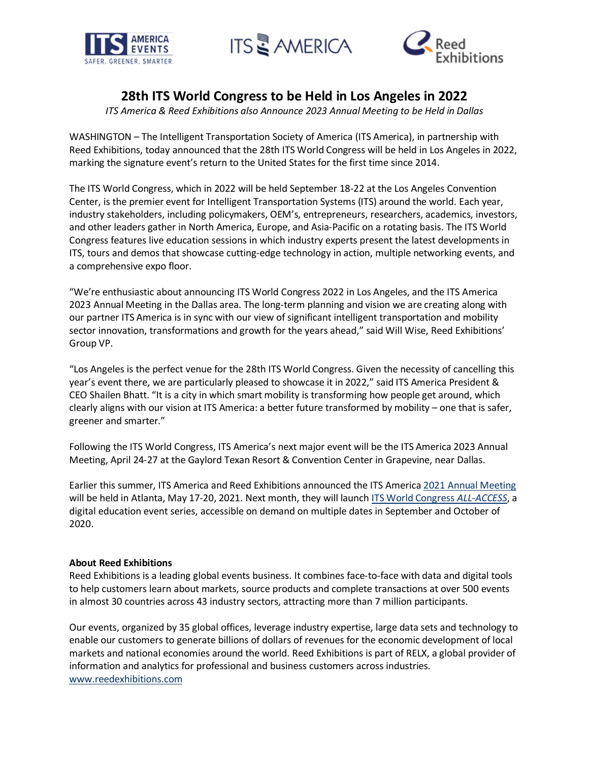





## **28th ITS World Congress to be Held in Los Angeles in 2022**

*ITS America & Reed Exhibitions also Announce 2023 Annual Meeting to be Held in Dallas*

WASHINGTON – The Intelligent Transportation Society of America (ITS America), in partnership with Reed Exhibitions, today announced that the 28th ITS World Congress will be held in Los Angeles in 2022, marking the signature event's return to the United States for the first time since 2014.

The ITS World Congress, which in 2022 will be held September 18-22 at the Los Angeles Convention Center, is the premier event for Intelligent Transportation Systems (ITS) around the world. Each year, industry stakeholders, including policymakers, OEM's, entrepreneurs, researchers, academics, investors, and other leaders gather in North America, Europe, and Asia-Pacific on a rotating basis. The ITS World Congress features live education sessions in which industry experts present the latest developments in ITS, tours and demos that showcase cutting-edge technology in action, multiple networking events, and a comprehensive expo floor.

"We're enthusiastic about announcing ITS World Congress 2022 in Los Angeles, and the ITS America 2023 Annual Meeting in the Dallas area. The long-term planning and vision we are creating along with our partner ITS America is in sync with our view of significant intelligent transportation and mobility sector innovation, transformations and growth for the years ahead," said Will Wise, Reed Exhibitions' Group VP.

"Los Angeles is the perfect venue for the 28th ITS World Congress. Given the necessity of cancelling this year's event there, we are particularly pleased to showcase it in 2022," said ITS America President & CEO Shailen Bhatt. "It is a city in which smart mobility is transforming how people get around, which clearly aligns with our vision at ITS America: a better future transformed by mobility – one that is safer, greener and smarter."

Following the ITS World Congress, ITS America's next major event will be the ITS America 2023 Annual Meeting, April 24-27 at the Gaylord Texan Resort & Convention Center in Grapevine, near Dallas.

Earlier this summer, ITS America and Reed Exhibitions announced the ITS America 2021 Annual [Meeting](https://www.itsamericaevents.com/atlanta-2021/en-us.html?elqTrackId=7D57D5028EC099C3153825BB7618463B&elqTrack=true) will be held in Atlanta, May 17-20, 2021. Next month, they will launch ITS World Congress *[ALL-ACCESS](https://www.itsamericaevents.com/its-all-access/en-us.html?elqTrackId=CCC88502410DFED6D589AF0DC9D4A9EC&elqTrack=true)*, a digital education event series, accessible on demand on multiple dates in September and October of 2020.

## **About Reed Exhibitions**

Reed Exhibitions is a leading global events business. It combines face-to-face with data and digital tools to help customers learn about markets, source products and complete transactions at over 500 events in almost 30 countries across 43 industry sectors, attracting more than 7 million participants.

Our events, organized by 35 global offices, leverage industry expertise, large data sets and technology to enable our customers to generate billions of dollars of revenues for the economic development of local markets and national economies around the world. Reed Exhibitions is part of RELX, a global provider of information and analytics for professional and business customers across industries. [www.reedexhibitions.com](http://www.reedexhibitions.com/?elqTrackId=AE7CDD38C75DC72A41C712E32D210F7F&elqTrack=true)